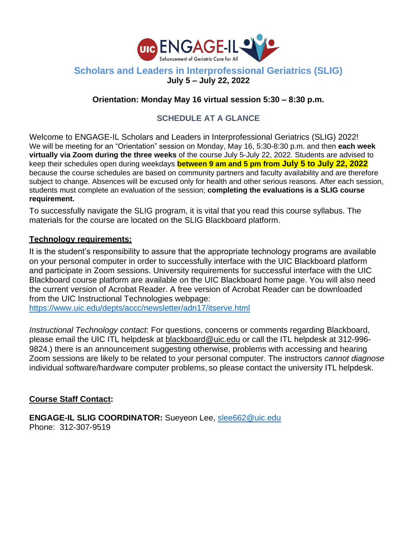

# **Scholars and Leaders in Interprofessional Geriatrics (SLIG)**

### **July 5 – July 22, 2022**

### **Orientation: Monday May 16 virtual session 5:30 – 8:30 p.m.**

## **SCHEDULE AT A GLANCE**

Welcome to ENGAGE-IL Scholars and Leaders in Interprofessional Geriatrics (SLIG) 2022! We will be meeting for an "Orientation" session on Monday, May 16, 5:30-8:30 p.m. and then **each week virtually via Zoom during the three weeks** of the course July 5-July 22, 2022. Students are advised to keep their schedules open during weekdays **between 9 am and 5 pm from July 5 to July 22, 2022** because the course schedules are based on community partners and faculty availability and are therefore subject to change. Absences will be excused only for health and other serious reasons. After each session, students must complete an evaluation of the session; **completing the evaluations is a SLIG course requirement.**

To successfully navigate the SLIG program, it is vital that you read this course syllabus. The materials for the course are located on the SLIG Blackboard platform.

#### **Technology requirements:**

It is the student's responsibility to assure that the appropriate technology programs are available on your personal computer in order to successfully interface with the UIC Blackboard platform and participate in Zoom sessions. University requirements for successful interface with the UIC Blackboard course platform are available on the UIC Blackboard home page. You will also need the current version of Acrobat Reader. A free version of Acrobat Reader can be downloaded from the UIC Instructional Technologies webpage:

<https://www.uic.edu/depts/accc/newsletter/adn17/itserve.html>

*Instructional Technology contact*: For questions, concerns or comments regarding Blackboard, please email the UIC ITL helpdesk at [blackboard@uic.edu](mailto:blackboard@uic.edu) or call the ITL helpdesk at 312-996- 9824.) there is an announcement suggesting otherwise, problems with accessing and hearing Zoom sessions are likely to be related to your personal computer. The instructors *cannot diagnose*  individual software/hardware computer problems, so please contact the university ITL helpdesk.

### **Course Staff Contact:**

**ENGAGE-IL SLIG COORDINATOR:** Sueyeon Lee, [slee662@uic.edu](mailto:slee662@uic.edu) Phone: 312-307-9519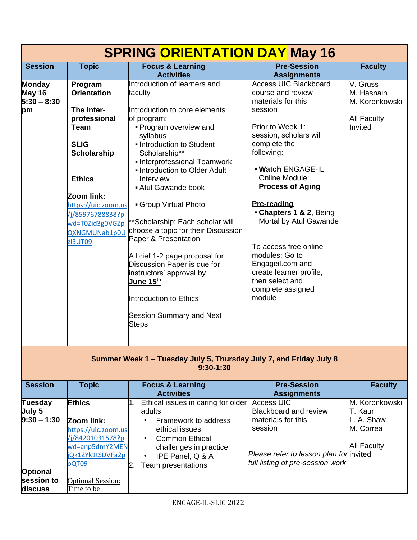| <b>SPRING ORIENTATION DAY May 16</b>                                              |                                                                                                                                                                                                                                          |                                                                                                                                                                                                                                                                                                                                                                                                                                                                                                                                                                                                     |                                                                                                                                                                                                                                                                                                                                                                                                                                                       |                                                                           |  |  |
|-----------------------------------------------------------------------------------|------------------------------------------------------------------------------------------------------------------------------------------------------------------------------------------------------------------------------------------|-----------------------------------------------------------------------------------------------------------------------------------------------------------------------------------------------------------------------------------------------------------------------------------------------------------------------------------------------------------------------------------------------------------------------------------------------------------------------------------------------------------------------------------------------------------------------------------------------------|-------------------------------------------------------------------------------------------------------------------------------------------------------------------------------------------------------------------------------------------------------------------------------------------------------------------------------------------------------------------------------------------------------------------------------------------------------|---------------------------------------------------------------------------|--|--|
| <b>Session</b>                                                                    | <b>Topic</b>                                                                                                                                                                                                                             | <b>Focus &amp; Learning</b><br><b>Activities</b>                                                                                                                                                                                                                                                                                                                                                                                                                                                                                                                                                    | <b>Pre-Session</b><br><b>Assignments</b>                                                                                                                                                                                                                                                                                                                                                                                                              | <b>Faculty</b>                                                            |  |  |
| <b>Monday</b><br><b>May 16</b><br>$5:30 - 8:30$<br>pm                             | Program<br><b>Orientation</b><br>The Inter-<br>professional<br><b>Team</b><br><b>SLIG</b><br><b>Scholarship</b><br><b>Ethics</b><br>Zoom link:<br>https://uic.zoom.us<br>/j/85976788838?p<br>wd=T0Zid3g0VGZp<br>QXNGMUNab1p0U<br>zI3UT09 | Introduction of learners and<br>faculty<br>Introduction to core elements<br>of program:<br>• Program overview and<br>syllabus<br>- Introduction to Student<br>Scholarship**<br>• Interprofessional Teamwork<br>- Introduction to Older Adult<br>Interview<br>Atul Gawande book<br>Group Virtual Photo<br>**Scholarship: Each scholar will<br>choose a topic for their Discussion<br>Paper & Presentation<br>A brief 1-2 page proposal for<br>Discussion Paper is due for<br>instructors' approval by<br>June 15 <sup>th</sup><br>Introduction to Ethics<br><b>Session Summary and Next</b><br>Steps | <b>Access UIC Blackboard</b><br>course and review<br>materials for this<br>session<br>Prior to Week 1:<br>session, scholars will<br>complete the<br>following:<br>. Watch ENGAGE-IL<br><b>Online Module:</b><br><b>Process of Aging</b><br>Pre-reading<br>Chapters 1 & 2, Being<br>Mortal by Atul Gawande<br>To access free online<br>modules: Go to<br>Engageil.com and<br>create learner profile,<br>then select and<br>complete assigned<br>module | V. Gruss<br>M. Hasnain<br>M. Koronkowski<br><b>All Faculty</b><br>Invited |  |  |
| Summer Week 1 - Tuesday July 5, Thursday July 7, and Friday July 8<br>$9:30-1:30$ |                                                                                                                                                                                                                                          |                                                                                                                                                                                                                                                                                                                                                                                                                                                                                                                                                                                                     |                                                                                                                                                                                                                                                                                                                                                                                                                                                       |                                                                           |  |  |
| <b>Session</b>                                                                    | <b>Topic</b>                                                                                                                                                                                                                             | <b>Focus &amp; Learning</b><br><b>Activities</b>                                                                                                                                                                                                                                                                                                                                                                                                                                                                                                                                                    | <b>Pre-Session</b><br><b>Assignments</b>                                                                                                                                                                                                                                                                                                                                                                                                              | <b>Faculty</b>                                                            |  |  |
| Tuesday<br>July 5<br>$9:30 - 1:30$                                                | <b>Ethics</b><br>Zoom link:<br>https://uic.zoom.us<br>/i/84201031578?n                                                                                                                                                                   | Ethical issues in caring for older<br>1.<br>adults<br>Framework to address<br>$\bullet$ .<br>ethical issues<br>• Common Ethical                                                                                                                                                                                                                                                                                                                                                                                                                                                                     | <b>Access UIC</b><br><b>Blackboard and review</b><br>materials for this<br>session                                                                                                                                                                                                                                                                                                                                                                    | M. Koronkowski<br>T. Kaur<br>L. A. Shaw<br>M. Correa                      |  |  |

|            | <b>IILLUS.//UIL.ZUUIII.US</b> | CUIIVAI IJJUUJ         | ------                                  | וייטע וויי         |
|------------|-------------------------------|------------------------|-----------------------------------------|--------------------|
|            | /j/84201031578?p              | <b>Common Ethical</b>  |                                         |                    |
|            | wd=anp5dmY2MEN                | challenges in practice |                                         | <b>All Faculty</b> |
|            | jQk1ZYk1tSDVFa2p              | IPE Panel, Q & A       | Please refer to lesson plan for invited |                    |
|            | oQT09                         | Team presentations     | full listing of pre-session work        |                    |
| Optional   |                               |                        |                                         |                    |
| session to | <b>Optional Session:</b>      |                        |                                         |                    |
| discuss    | Time to be                    |                        |                                         |                    |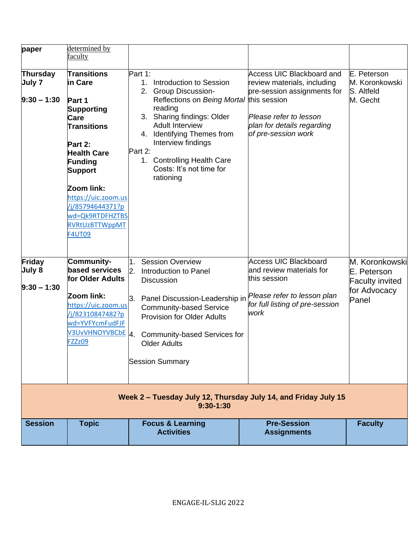I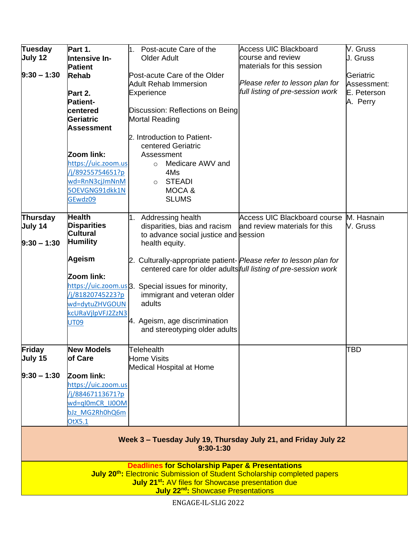| <b>Tuesday</b><br>July 12<br>$9:30 - 1:30$                                                                                                                                                                                                                                   | Part 1.<br>Intensive In-<br><b>Patient</b><br><b>Rehab</b><br>Part 2.<br><b>Patient-</b><br>centered<br>Geriatric<br><b>Assessment</b><br>Zoom link:<br>https://uic.zoom.us<br>/j/89255754651?p<br>wd=RnN3cjJmNnM | Post-acute Care of the<br>1.<br><b>Older Adult</b><br>Post-acute Care of the Older<br><b>Adult Rehab Immersion</b><br>Experience<br>Discussion: Reflections on Being<br><b>Mortal Reading</b><br>2. Introduction to Patient-<br>centered Geriatric<br>Assessment<br>Medicare AWV and<br>$\circ$<br>4Ms<br><b>STEADI</b><br>$\circ$ | <b>Access UIC Blackboard</b><br>course and review<br>materials for this session<br>Please refer to lesson plan for<br>full listing of pre-session work | V. Gruss<br>J. Gruss<br>Geriatric<br>Assessment:<br>E. Peterson<br>A. Perry |  |  |
|------------------------------------------------------------------------------------------------------------------------------------------------------------------------------------------------------------------------------------------------------------------------------|-------------------------------------------------------------------------------------------------------------------------------------------------------------------------------------------------------------------|------------------------------------------------------------------------------------------------------------------------------------------------------------------------------------------------------------------------------------------------------------------------------------------------------------------------------------|--------------------------------------------------------------------------------------------------------------------------------------------------------|-----------------------------------------------------------------------------|--|--|
|                                                                                                                                                                                                                                                                              | 5OEVGNG91dkk1N<br>GEwdz09                                                                                                                                                                                         | MOCA&<br><b>SLUMS</b>                                                                                                                                                                                                                                                                                                              |                                                                                                                                                        |                                                                             |  |  |
| Thursday<br>July 14<br>$9:30 - 1:30$                                                                                                                                                                                                                                         | <b>Health</b><br><b>Disparities</b><br><b>Cultural</b><br><b>Humility</b>                                                                                                                                         | 1. Addressing health<br>disparities, bias and racism<br>to advance social justice and session<br>health equity.                                                                                                                                                                                                                    | Access UIC Blackboard course M. Hasnain<br>and review materials for this                                                                               | V. Gruss                                                                    |  |  |
|                                                                                                                                                                                                                                                                              | <b>Ageism</b><br>Zoom link:<br>/j/81820745223?p<br>wd=dytuZHVGOUN<br>kcURaVjlpVFJ2ZzN3<br><b>UT09</b>                                                                                                             | 2. Culturally-appropriate patient- Please refer to lesson plan for<br>https://uic.zoom.us 3. Special issues for minority,<br>immigrant and veteran older<br>adults<br>4. Ageism, age discrimination<br>and stereotyping older adults                                                                                               | centered care for older adults full listing of pre-session work                                                                                        |                                                                             |  |  |
| Friday<br>July 15<br>$9:30 - 1:30$                                                                                                                                                                                                                                           | <b>New Models</b><br>of Care<br>Zoom link:<br>https://uic.zoom.us<br>/j/88467113671?p<br>wd=ql0mCR IJ0OM<br>bJz MG2Rh0hQ6m<br>OtX5.1                                                                              | <b>Telehealth</b><br><b>Home Visits</b><br>Medical Hospital at Home                                                                                                                                                                                                                                                                |                                                                                                                                                        | <b>TBD</b>                                                                  |  |  |
| Week 3 - Tuesday July 19, Thursday July 21, and Friday July 22<br>$9:30-1:30$                                                                                                                                                                                                |                                                                                                                                                                                                                   |                                                                                                                                                                                                                                                                                                                                    |                                                                                                                                                        |                                                                             |  |  |
| <b>Deadlines for Scholarship Paper &amp; Presentations</b><br>July 20 <sup>th</sup> : Electronic Submission of Student Scholarship completed papers<br>July 21 <sup>st</sup> : AV files for Showcase presentation due<br><b>July 22<sup>nd</sup>:</b> Showcase Presentations |                                                                                                                                                                                                                   |                                                                                                                                                                                                                                                                                                                                    |                                                                                                                                                        |                                                                             |  |  |